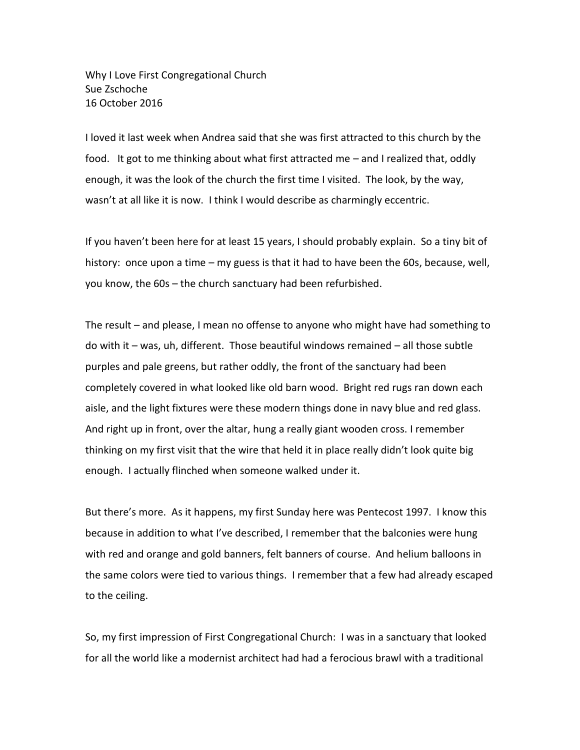Why I Love First Congregational Church Sue Zschoche 16 October 2016

I loved it last week when Andrea said that she was first attracted to this church by the food. It got to me thinking about what first attracted me – and I realized that, oddly enough, it was the look of the church the first time I visited. The look, by the way, wasn't at all like it is now. I think I would describe as charmingly eccentric.

If you haven't been here for at least 15 years, I should probably explain. So a tiny bit of history: once upon a time – my guess is that it had to have been the 60s, because, well, you know, the 60s – the church sanctuary had been refurbished.

The result – and please, I mean no offense to anyone who might have had something to do with it – was, uh, different. Those beautiful windows remained – all those subtle purples and pale greens, but rather oddly, the front of the sanctuary had been completely covered in what looked like old barn wood. Bright red rugs ran down each aisle, and the light fixtures were these modern things done in navy blue and red glass. And right up in front, over the altar, hung a really giant wooden cross. I remember thinking on my first visit that the wire that held it in place really didn't look quite big enough. I actually flinched when someone walked under it.

But there's more. As it happens, my first Sunday here was Pentecost 1997. I know this because in addition to what I've described, I remember that the balconies were hung with red and orange and gold banners, felt banners of course. And helium balloons in the same colors were tied to various things. I remember that a few had already escaped to the ceiling.

So, my first impression of First Congregational Church: I was in a sanctuary that looked for all the world like a modernist architect had had a ferocious brawl with a traditional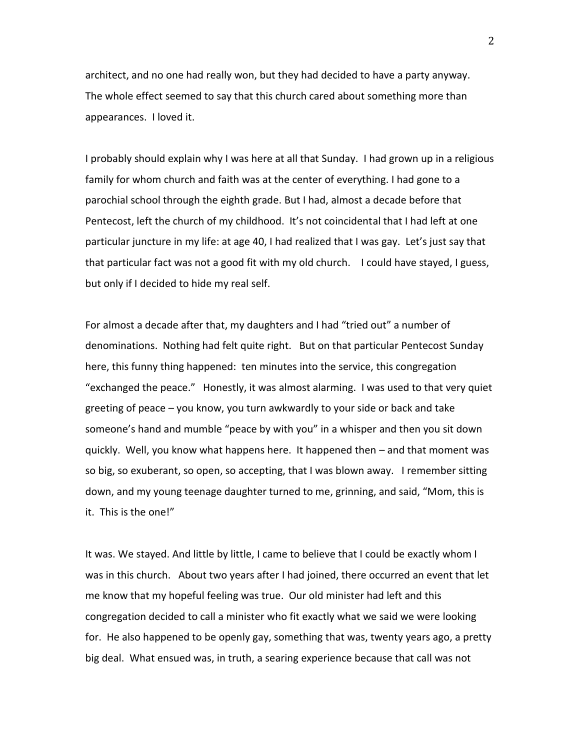architect, and no one had really won, but they had decided to have a party anyway. The whole effect seemed to say that this church cared about something more than appearances. I loved it.

I probably should explain why I was here at all that Sunday. I had grown up in a religious family for whom church and faith was at the center of everything. I had gone to a parochial school through the eighth grade. But I had, almost a decade before that Pentecost, left the church of my childhood. It's not coincidental that I had left at one particular juncture in my life: at age 40, I had realized that I was gay. Let's just say that that particular fact was not a good fit with my old church. I could have stayed, I guess, but only if I decided to hide my real self.

For almost a decade after that, my daughters and I had "tried out" a number of denominations. Nothing had felt quite right. But on that particular Pentecost Sunday here, this funny thing happened: ten minutes into the service, this congregation "exchanged the peace." Honestly, it was almost alarming. I was used to that very quiet greeting of peace – you know, you turn awkwardly to your side or back and take someone's hand and mumble "peace by with you" in a whisper and then you sit down quickly. Well, you know what happens here. It happened then – and that moment was so big, so exuberant, so open, so accepting, that I was blown away. I remember sitting down, and my young teenage daughter turned to me, grinning, and said, "Mom, this is it. This is the one!"

It was. We stayed. And little by little, I came to believe that I could be exactly whom I was in this church. About two years after I had joined, there occurred an event that let me know that my hopeful feeling was true. Our old minister had left and this congregation decided to call a minister who fit exactly what we said we were looking for. He also happened to be openly gay, something that was, twenty years ago, a pretty big deal. What ensued was, in truth, a searing experience because that call was not

2